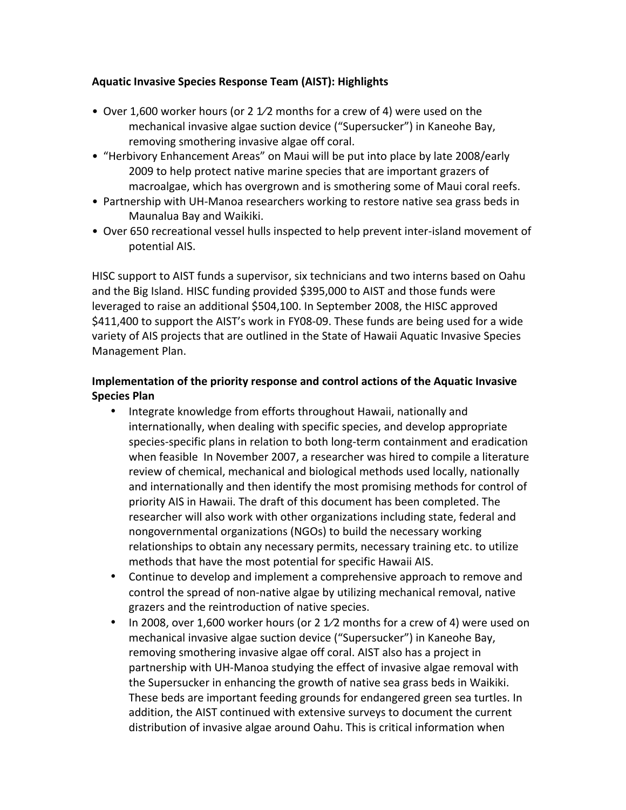## **Aquatic Invasive Species Response Team (AIST): Highlights**

- Over 1,600 worker hours (or 2 1/2 months for a crew of 4) were used on the mechanical invasive algae suction device ("Supersucker") in Kaneohe Bay, removing smothering invasive algae off coral.
- "Herbivory Enhancement Areas" on Maui will be put into place by late 2008/early 2009 to help protect native marine species that are important grazers of macroalgae, which has overgrown and is smothering some of Maui coral reefs.
- Partnership with UH-Manoa researchers working to restore native sea grass beds in Maunalua Bay and Waikiki.
- Over 650 recreational vessel hulls inspected to help prevent inter-island movement of potential AIS.

HISC support to AIST funds a supervisor, six technicians and two interns based on Oahu and the Big Island. HISC funding provided \$395,000 to AIST and those funds were leveraged to raise an additional \$504,100. In September 2008, the HISC approved \$411,400 to support the AIST's work in FY08-09. These funds are being used for a wide variety of AIS projects that are outlined in the State of Hawaii Aquatic Invasive Species Management Plan.

## **Implementation of the priority response and control actions of the Aquatic Invasive Species Plan**

- Integrate knowledge from efforts throughout Hawaii, nationally and internationally, when dealing with specific species, and develop appropriate species-specific plans in relation to both long-term containment and eradication when feasible In November 2007, a researcher was hired to compile a literature review of chemical, mechanical and biological methods used locally, nationally and internationally and then identify the most promising methods for control of priority AIS in Hawaii. The draft of this document has been completed. The researcher will also work with other organizations including state, federal and nongovernmental organizations (NGOs) to build the necessary working relationships to obtain any necessary permits, necessary training etc. to utilize methods that have the most potential for specific Hawaii AIS.
- Continue to develop and implement a comprehensive approach to remove and control the spread of non-native algae by utilizing mechanical removal, native grazers and the reintroduction of native species.
- In 2008, over 1,600 worker hours (or 2  $1/2$  months for a crew of 4) were used on mechanical invasive algae suction device ("Supersucker") in Kaneohe Bay, removing smothering invasive algae off coral. AIST also has a project in partnership with UH-Manoa studying the effect of invasive algae removal with the Supersucker in enhancing the growth of native sea grass beds in Waikiki. These beds are important feeding grounds for endangered green sea turtles. In addition, the AIST continued with extensive surveys to document the current distribution of invasive algae around Oahu. This is critical information when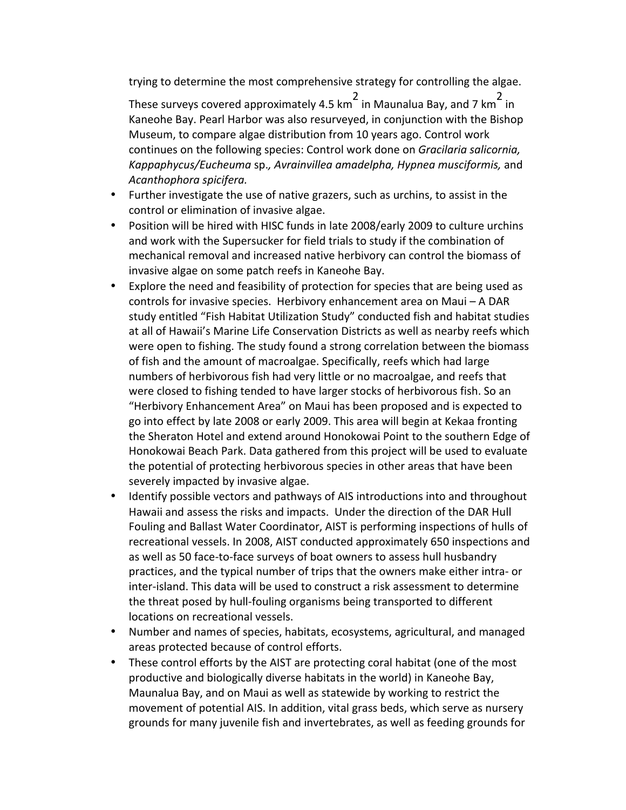trying to determine the most comprehensive strategy for controlling the algae.

These surveys covered approximately 4.5 km<sup>2</sup> in Maunalua Bay, and 7 km<sup>2</sup> in Kaneohe Bay. Pearl Harbor was also resurveyed, in conjunction with the Bishop Museum, to compare algae distribution from 10 years ago. Control work continues on the following species: Control work done on *Gracilaria salicornia*, *Kappaphycus/Eucheuma* sp.*, Avrainvillea amadelpha, Hypnea musciformis,* and *Acanthophora spicifera.*

- Further investigate the use of native grazers, such as urchins, to assist in the control or elimination of invasive algae.
- Position will be hired with HISC funds in late 2008/early 2009 to culture urchins and work with the Supersucker for field trials to study if the combination of mechanical removal and increased native herbivory can control the biomass of invasive algae on some patch reefs in Kaneohe Bay.
- Explore the need and feasibility of protection for species that are being used as controls for invasive species. Herbivory enhancement area on Maui  $-$  A DAR study entitled "Fish Habitat Utilization Study" conducted fish and habitat studies at all of Hawaii's Marine Life Conservation Districts as well as nearby reefs which were open to fishing. The study found a strong correlation between the biomass of fish and the amount of macroalgae. Specifically, reefs which had large numbers of herbivorous fish had very little or no macroalgae, and reefs that were closed to fishing tended to have larger stocks of herbivorous fish. So an "Herbivory Enhancement Area" on Maui has been proposed and is expected to go into effect by late 2008 or early 2009. This area will begin at Kekaa fronting the Sheraton Hotel and extend around Honokowai Point to the southern Edge of Honokowai Beach Park. Data gathered from this project will be used to evaluate the potential of protecting herbivorous species in other areas that have been severely impacted by invasive algae.
- Identify possible vectors and pathways of AIS introductions into and throughout Hawaii and assess the risks and impacts. Under the direction of the DAR Hull Fouling and Ballast Water Coordinator, AIST is performing inspections of hulls of recreational vessels. In 2008, AIST conducted approximately 650 inspections and as well as 50 face-to-face surveys of boat owners to assess hull husbandry practices, and the typical number of trips that the owners make either intra- or inter-island. This data will be used to construct a risk assessment to determine the threat posed by hull-fouling organisms being transported to different locations on recreational vessels.
- Number and names of species, habitats, ecosystems, agricultural, and managed areas protected because of control efforts.
- These control efforts by the AIST are protecting coral habitat (one of the most productive and biologically diverse habitats in the world) in Kaneohe Bay, Maunalua Bay, and on Maui as well as statewide by working to restrict the movement of potential AIS. In addition, vital grass beds, which serve as nursery grounds for many juvenile fish and invertebrates, as well as feeding grounds for